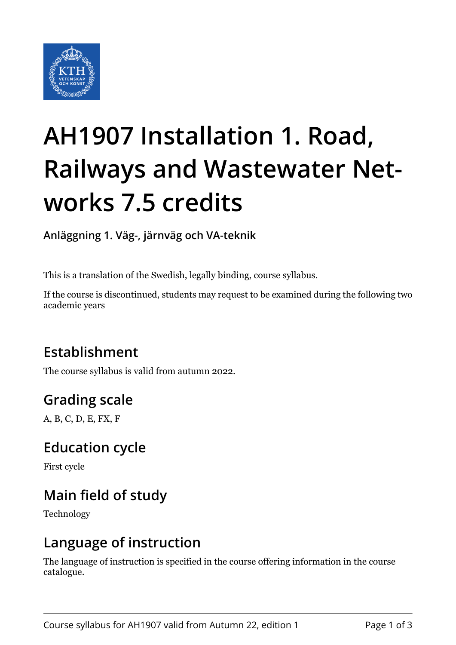

# **AH1907 Installation 1. Road, Railways and Wastewater Networks 7.5 credits**

**Anläggning 1. Väg-, järnväg och VA-teknik**

This is a translation of the Swedish, legally binding, course syllabus.

If the course is discontinued, students may request to be examined during the following two academic years

# **Establishment**

The course syllabus is valid from autumn 2022.

## **Grading scale**

A, B, C, D, E, FX, F

#### **Education cycle**

First cycle

## **Main field of study**

Technology

#### **Language of instruction**

The language of instruction is specified in the course offering information in the course catalogue.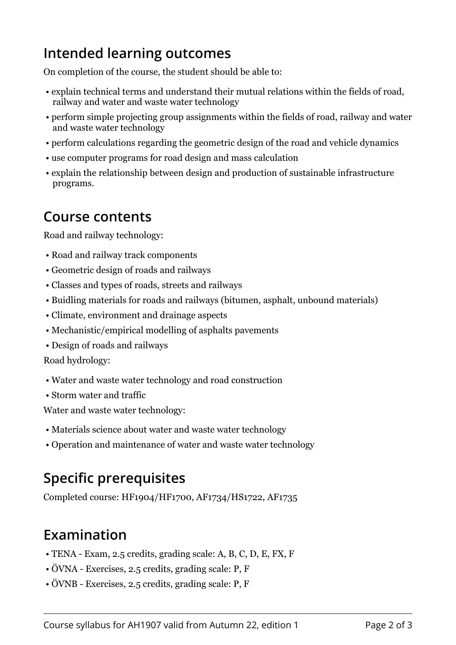## **Intended learning outcomes**

On completion of the course, the student should be able to:

- explain technical terms and understand their mutual relations within the fields of road, railway and water and waste water technology
- perform simple projecting group assignments within the fields of road, railway and water and waste water technology
- perform calculations regarding the geometric design of the road and vehicle dynamics
- use computer programs for road design and mass calculation
- explain the relationship between design and production of sustainable infrastructure programs.

#### **Course contents**

Road and railway technology:

- Road and railway track components
- Geometric design of roads and railways
- Classes and types of roads, streets and railways
- Buidling materials for roads and railways (bitumen, asphalt, unbound materials)
- Climate, environment and drainage aspects
- Mechanistic/empirical modelling of asphalts pavements
- Design of roads and railways

Road hydrology:

- Water and waste water technology and road construction
- Storm water and traffic

Water and waste water technology:

- Materials science about water and waste water technology
- Operation and maintenance of water and waste water technology

# **Specific prerequisites**

Completed course: HF1904/HF1700, AF1734/HS1722, AF1735

# **Examination**

- TENA Exam, 2.5 credits, grading scale: A, B, C, D, E, FX, F
- ÖVNA Exercises, 2.5 credits, grading scale: P, F
- ÖVNB Exercises, 2.5 credits, grading scale: P, F